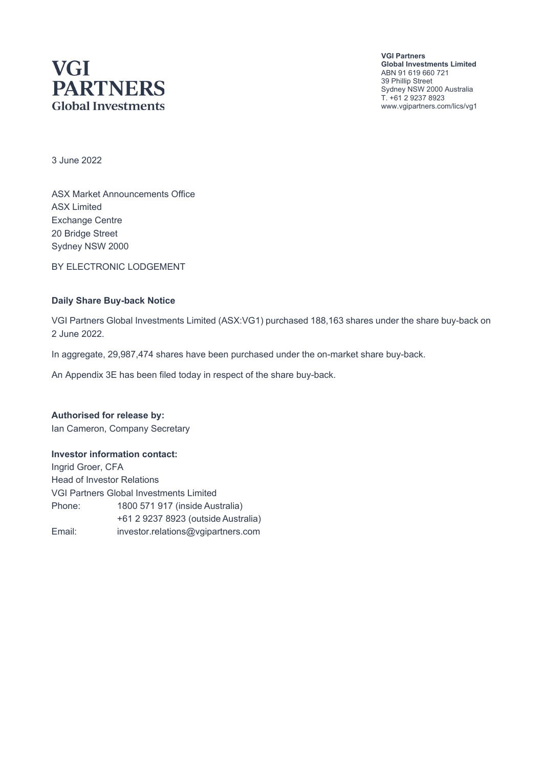# **VGI PARTNERS Global Investments**

**VGI Partners Global Investments Limited** ABN 91 619 660 721 39 Phillip Street Sydney NSW 2000 Australia T. +61 2 9237 8923 www.vgipartners.com/lics/vg1

3 June 2022

ASX Market Announcements Office ASX Limited Exchange Centre 20 Bridge Street Sydney NSW 2000

BY ELECTRONIC LODGEMENT

#### **Daily Share Buy-back Notice**

VGI Partners Global Investments Limited (ASX:VG1) purchased 188,163 shares under the share buy-back on 2 June 2022.

In aggregate, 29,987,474 shares have been purchased under the on-market share buy-back.

An Appendix 3E has been filed today in respect of the share buy-back.

**Authorised for release by:** Ian Cameron, Company Secretary

#### **Investor information contact:**

Ingrid Groer, CFA Head of Investor Relations VGI Partners Global Investments Limited Phone: 1800 571 917 (inside Australia) +61 2 9237 8923 (outside Australia) Email: investor.relations@vgipartners.com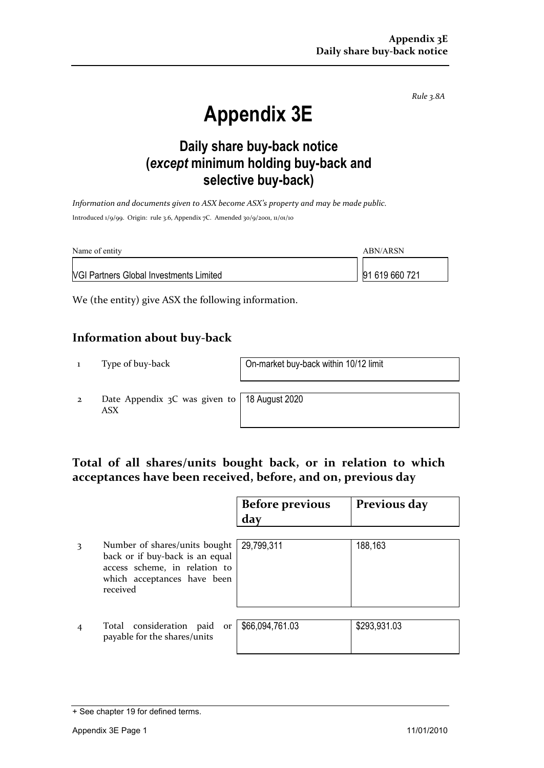*Rule 3.8A*

# **Appendix 3E**

## **Daily share buy-back notice (***except* **minimum holding buy-back and selective buy-back)**

*Information and documents given to ASX become ASX's property and may be made public.* Introduced 1/9/99. Origin: rule 3.6, Appendix 7C. Amended 30/9/2001, 11/01/10

| Name of entity                                 | ABN/ARSN       |  |
|------------------------------------------------|----------------|--|
| <b>NGI Partners Global Investments Limited</b> | 91 619 660 721 |  |

We (the entity) give ASX the following information.

#### **Information about buy-back**

1 Type of buy-back On-market buy-back within 10/12 limit

2 Date Appendix 3C was given to ASX

18 August 2020

### **Total of all shares/units bought back, or in relation to which acceptances have been received, before, and on, previous day**

|   |                                                                                                                                              | <b>Before previous</b><br>day | Previous day |
|---|----------------------------------------------------------------------------------------------------------------------------------------------|-------------------------------|--------------|
| 3 | Number of shares/units bought<br>back or if buy-back is an equal<br>access scheme, in relation to<br>which acceptances have been<br>received | 29,799,311                    | 188,163      |
|   | Total consideration paid<br>or<br>payable for the shares/units                                                                               | \$66,094,761.03               | \$293,931.03 |

<sup>+</sup> See chapter 19 for defined terms.